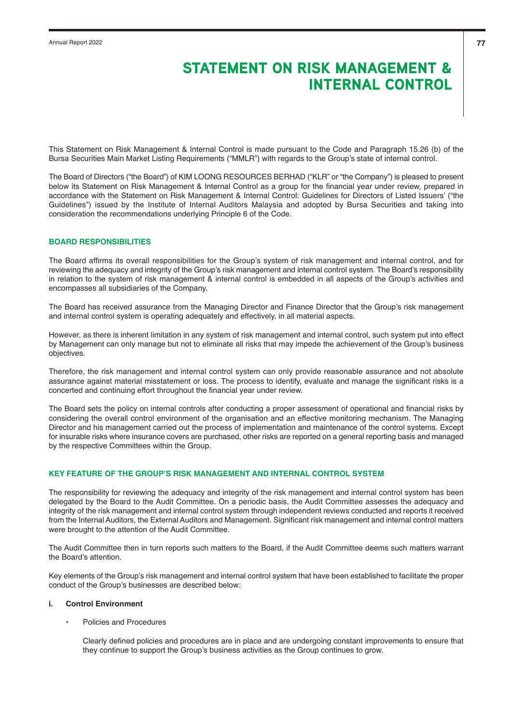This Statement on Risk Management & Internal Control is made pursuant to the Code and Paragraph 15.26 (b) of the Bursa Securities Main Market Listing Requirements ("MMLR") with regards to the Group's state of internal control.

The Board of Directors ("the Board") of KIM LOONG RESOURCES BERHAD ("KLR" or "the Company") is pleased to present below its Statement on Risk Management & Internal Control as a group for the financial year under review, prepared in accordance with the Statement on Risk Management & Internal Control: Guidelines for Directors of Listed Issuers' ("the Guidelines") issued by the Institute of Internal Auditors Malaysia and adopted by Bursa Securities and taking into consideration the recommendations underlying Principle 6 of the Code.

## **BOARD RESPONSIBILITIES**

The Board affirms its overall responsibilities for the Group's system of risk management and internal control, and for reviewing the adequacy and integrity of the Group's risk management and internal control system. The Board's responsibility in relation to the system of risk management & internal control is embedded in all aspects of the Group's activities and encompasses all subsidiaries of the Company.

The Board has received assurance from the Managing Director and Finance Director that the Group's risk management and internal control system is operating adequately and effectively, in all material aspects.

However, as there is inherent limitation in any system of risk management and internal control, such system put into effect by Management can only manage but not to eliminate all risks that may impede the achievement of the Group's business objectives.

Therefore, the risk management and internal control system can only provide reasonable assurance and not absolute assurance against material misstatement or loss. The process to identify, evaluate and manage the significant risks is a concerted and continuing effort throughout the financial year under review.

The Board sets the policy on internal controls after conducting a proper assessment of operational and financial risks by considering the overall control environment of the organisation and an effective monitoring mechanism. The Managing Director and his management carried out the process of implementation and maintenance of the control systems. Except for insurable risks where insurance covers are purchased, other risks are reported on a general reporting basis and managed by the respective Committees within the Group.

## **KEY FEATURE OF THE GROUP'S RISK MANAGEMENT AND INTERNAL CONTROL SYSTEM**

The responsibility for reviewing the adequacy and integrity of the risk management and internal control system has been delegated by the Board to the Audit Committee. On a periodic basis, the Audit Committee assesses the adequacy and integrity of the risk management and internal control system through independent reviews conducted and reports it received from the Internal Auditors, the External Auditors and Management. Significant risk management and internal control matters were brought to the attention of the Audit Committee.

The Audit Committee then in turn reports such matters to the Board, if the Audit Committee deems such matters warrant the Board's attention.

Key elements of the Group's risk management and internal control system that have been established to facilitate the proper conduct of the Group's businesses are described below:

## **i. Control Environment**

• Policies and Procedures

Clearly defined policies and procedures are in place and are undergoing constant improvements to ensure that they continue to support the Group's business activities as the Group continues to grow.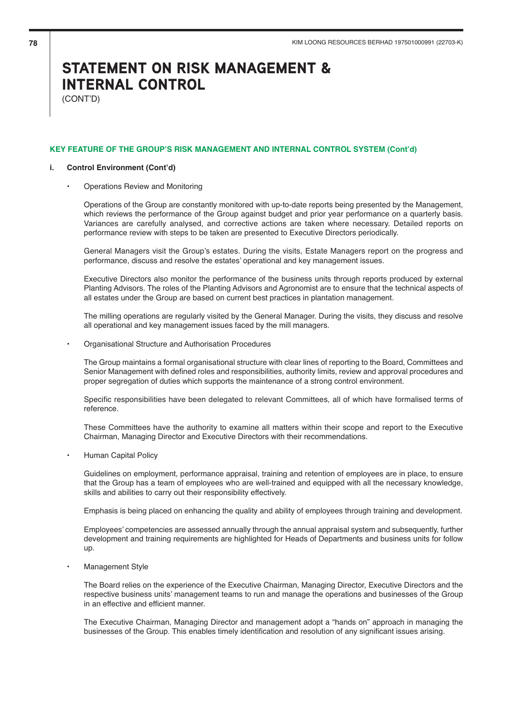(CONT'D)

## **KEY FEATURE OF THE GROUP'S RISK MANAGEMENT AND INTERNAL CONTROL SYSTEM (Cont'd)**

#### **i. Control Environment (Cont'd)**

• Operations Review and Monitoring

Operations of the Group are constantly monitored with up-to-date reports being presented by the Management, which reviews the performance of the Group against budget and prior year performance on a quarterly basis. Variances are carefully analysed, and corrective actions are taken where necessary. Detailed reports on performance review with steps to be taken are presented to Executive Directors periodically.

General Managers visit the Group's estates. During the visits, Estate Managers report on the progress and performance, discuss and resolve the estates' operational and key management issues.

Executive Directors also monitor the performance of the business units through reports produced by external Planting Advisors. The roles of the Planting Advisors and Agronomist are to ensure that the technical aspects of all estates under the Group are based on current best practices in plantation management.

The milling operations are regularly visited by the General Manager. During the visits, they discuss and resolve all operational and key management issues faced by the mill managers.

• Organisational Structure and Authorisation Procedures

The Group maintains a formal organisational structure with clear lines of reporting to the Board, Committees and Senior Management with defined roles and responsibilities, authority limits, review and approval procedures and proper segregation of duties which supports the maintenance of a strong control environment.

Specific responsibilities have been delegated to relevant Committees, all of which have formalised terms of reference.

These Committees have the authority to examine all matters within their scope and report to the Executive Chairman, Managing Director and Executive Directors with their recommendations.

• Human Capital Policy

Guidelines on employment, performance appraisal, training and retention of employees are in place, to ensure that the Group has a team of employees who are well-trained and equipped with all the necessary knowledge, skills and abilities to carry out their responsibility effectively.

Emphasis is being placed on enhancing the quality and ability of employees through training and development.

Employees' competencies are assessed annually through the annual appraisal system and subsequently, further development and training requirements are highlighted for Heads of Departments and business units for follow up.

• Management Style

The Board relies on the experience of the Executive Chairman, Managing Director, Executive Directors and the respective business units' management teams to run and manage the operations and businesses of the Group in an effective and efficient manner.

The Executive Chairman, Managing Director and management adopt a "hands on" approach in managing the businesses of the Group. This enables timely identification and resolution of any significant issues arising.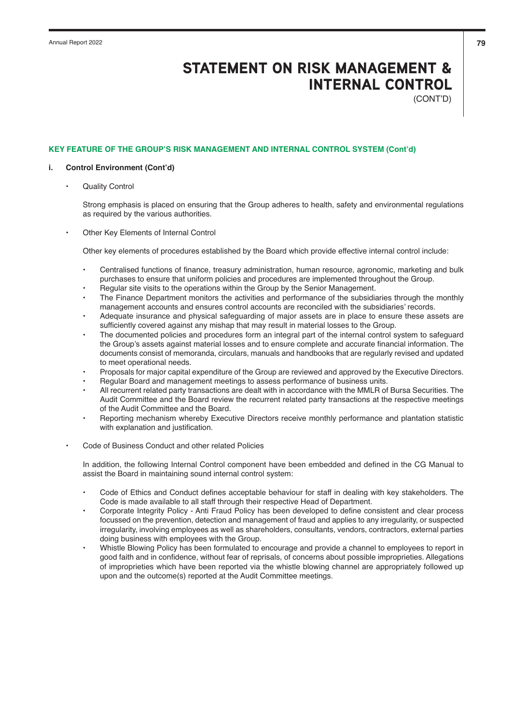(CONT'D)

## **KEY FEATURE OF THE GROUP'S RISK MANAGEMENT AND INTERNAL CONTROL SYSTEM (Cont'd)**

### **i. Control Environment (Cont'd)**

**Quality Control** 

Strong emphasis is placed on ensuring that the Group adheres to health, safety and environmental regulations as required by the various authorities.

• Other Key Elements of Internal Control

Other key elements of procedures established by the Board which provide effective internal control include:

- Centralised functions of finance, treasury administration, human resource, agronomic, marketing and bulk purchases to ensure that uniform policies and procedures are implemented throughout the Group.
- Regular site visits to the operations within the Group by the Senior Management.
- The Finance Department monitors the activities and performance of the subsidiaries through the monthly management accounts and ensures control accounts are reconciled with the subsidiaries' records.
- Adequate insurance and physical safeguarding of major assets are in place to ensure these assets are sufficiently covered against any mishap that may result in material losses to the Group.
- The documented policies and procedures form an integral part of the internal control system to safeguard the Group's assets against material losses and to ensure complete and accurate financial information. The documents consist of memoranda, circulars, manuals and handbooks that are regularly revised and updated to meet operational needs.
- Proposals for major capital expenditure of the Group are reviewed and approved by the Executive Directors.
- Regular Board and management meetings to assess performance of business units.
- All recurrent related party transactions are dealt with in accordance with the MMLR of Bursa Securities. The Audit Committee and the Board review the recurrent related party transactions at the respective meetings of the Audit Committee and the Board.
- Reporting mechanism whereby Executive Directors receive monthly performance and plantation statistic with explanation and justification.
- Code of Business Conduct and other related Policies

In addition, the following Internal Control component have been embedded and defined in the CG Manual to assist the Board in maintaining sound internal control system:

- Code of Ethics and Conduct defines acceptable behaviour for staff in dealing with key stakeholders. The Code is made available to all staff through their respective Head of Department.
- Corporate Integrity Policy Anti Fraud Policy has been developed to define consistent and clear process focussed on the prevention, detection and management of fraud and applies to any irregularity, or suspected irregularity, involving employees as well as shareholders, consultants, vendors, contractors, external parties doing business with employees with the Group.
- Whistle Blowing Policy has been formulated to encourage and provide a channel to employees to report in good faith and in confidence, without fear of reprisals, of concerns about possible improprieties. Allegations of improprieties which have been reported via the whistle blowing channel are appropriately followed up upon and the outcome(s) reported at the Audit Committee meetings.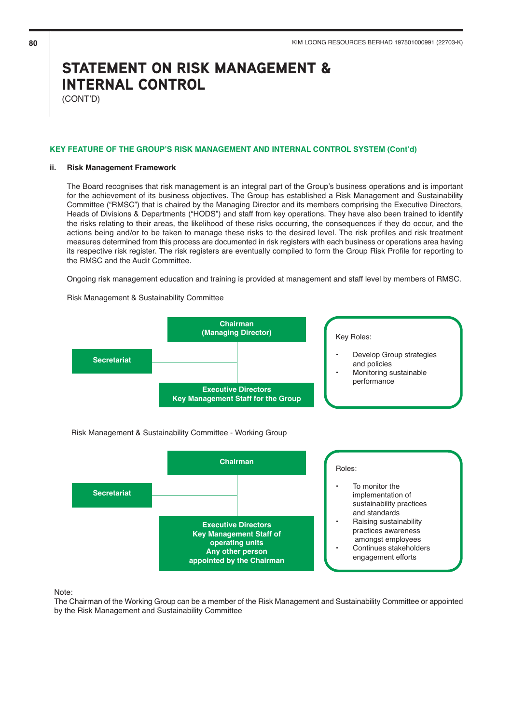(CONT'D)

### **KEY FEATURE OF THE GROUP'S RISK MANAGEMENT AND INTERNAL CONTROL SYSTEM (Cont'd)**

#### **ii. Risk Management Framework**

The Board recognises that risk management is an integral part of the Group's business operations and is important for the achievement of its business objectives. The Group has established a Risk Management and Sustainability Committee ("RMSC") that is chaired by the Managing Director and its members comprising the Executive Directors, Heads of Divisions & Departments ("HODS") and staff from key operations. They have also been trained to identify the risks relating to their areas, the likelihood of these risks occurring, the consequences if they do occur, and the actions being and/or to be taken to manage these risks to the desired level. The risk profiles and risk treatment measures determined from this process are documented in risk registers with each business or operations area having its respective risk register. The risk registers are eventually compiled to form the Group Risk Profile for reporting to the RMSC and the Audit Committee.

Ongoing risk management education and training is provided at management and staff level by members of RMSC.

Risk Management & Sustainability Committee



## Risk Management & Sustainability Committee - Working Group



Note:

The Chairman of the Working Group can be a member of the Risk Management and Sustainability Committee or appointed by the Risk Management and Sustainability Committee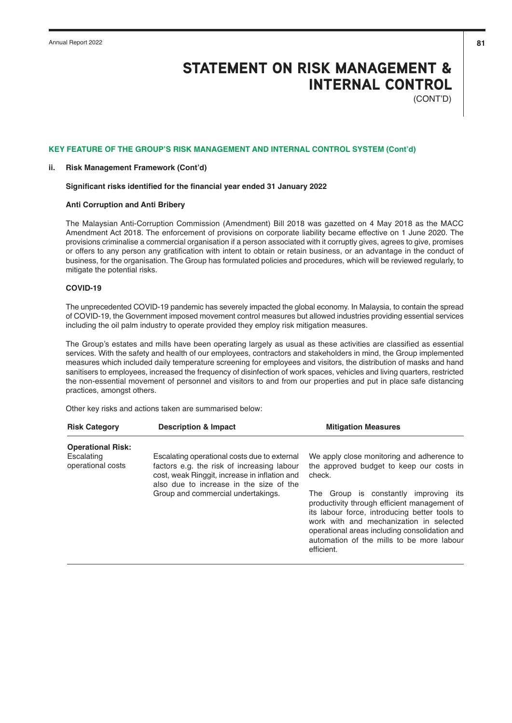(CONT'D)

### **KEY FEATURE OF THE GROUP'S RISK MANAGEMENT AND INTERNAL CONTROL SYSTEM (Cont'd)**

#### **ii. Risk Management Framework (Cont'd)**

#### **Significant risks identified for the financial year ended 31 January 2022**

## **Anti Corruption and Anti Bribery**

The Malaysian Anti-Corruption Commission (Amendment) Bill 2018 was gazetted on 4 May 2018 as the MACC Amendment Act 2018. The enforcement of provisions on corporate liability became effective on 1 June 2020. The provisions criminalise a commercial organisation if a person associated with it corruptly gives, agrees to give, promises or offers to any person any gratification with intent to obtain or retain business, or an advantage in the conduct of business, for the organisation. The Group has formulated policies and procedures, which will be reviewed regularly, to mitigate the potential risks.

## **COVID-19**

The unprecedented COVID-19 pandemic has severely impacted the global economy. In Malaysia, to contain the spread of COVID-19, the Government imposed movement control measures but allowed industries providing essential services including the oil palm industry to operate provided they employ risk mitigation measures.

The Group's estates and mills have been operating largely as usual as these activities are classified as essential services. With the safety and health of our employees, contractors and stakeholders in mind, the Group implemented measures which included daily temperature screening for employees and visitors, the distribution of masks and hand sanitisers to employees, increased the frequency of disinfection of work spaces, vehicles and living quarters, restricted the non-essential movement of personnel and visitors to and from our properties and put in place safe distancing practices, amongst others.

Other key risks and actions taken are summarised below:

| <b>Risk Category</b>            | <b>Description &amp; Impact</b>                                                                                                                                                        | <b>Mitigation Measures</b>                                                                                                                                                                                                                                                                    |
|---------------------------------|----------------------------------------------------------------------------------------------------------------------------------------------------------------------------------------|-----------------------------------------------------------------------------------------------------------------------------------------------------------------------------------------------------------------------------------------------------------------------------------------------|
| <b>Operational Risk:</b>        |                                                                                                                                                                                        |                                                                                                                                                                                                                                                                                               |
| Escalating<br>operational costs | Escalating operational costs due to external<br>factors e.g. the risk of increasing labour<br>cost, weak Ringgit, increase in inflation and<br>also due to increase in the size of the | We apply close monitoring and adherence to<br>the approved budget to keep our costs in<br>check.                                                                                                                                                                                              |
|                                 | Group and commercial undertakings.                                                                                                                                                     | The Group is constantly improving its<br>productivity through efficient management of<br>its labour force, introducing better tools to<br>work with and mechanization in selected<br>operational areas including consolidation and<br>automation of the mills to be more labour<br>efficient. |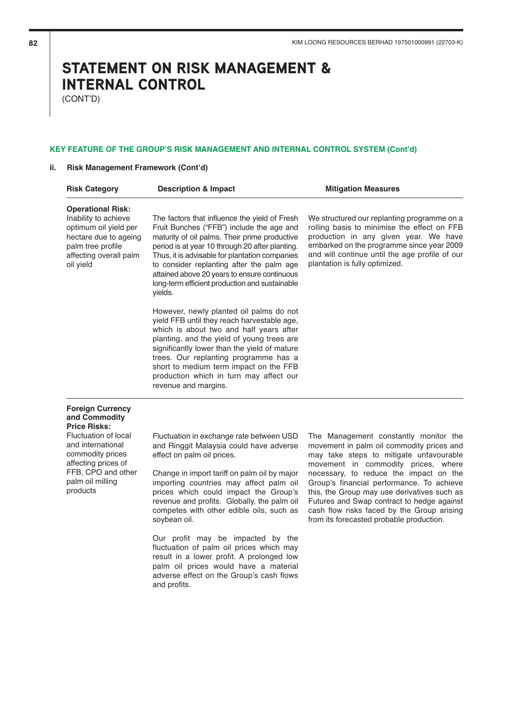(CONT'D)

## **KEY FEATURE OF THE GROUP'S RISK MANAGEMENT AND INTERNAL CONTROL SYSTEM (Cont'd)**

## **ii. Risk Management Framework (Cont'd)**

| <b>Risk Category</b>                                                                                                                                           | <b>Description &amp; Impact</b>                                                                                                                                                                                                                                                                                                                                                                            | <b>Mitigation Measures</b>                                                                                                                                                                                                                                                                                                                                                                                                                         |
|----------------------------------------------------------------------------------------------------------------------------------------------------------------|------------------------------------------------------------------------------------------------------------------------------------------------------------------------------------------------------------------------------------------------------------------------------------------------------------------------------------------------------------------------------------------------------------|----------------------------------------------------------------------------------------------------------------------------------------------------------------------------------------------------------------------------------------------------------------------------------------------------------------------------------------------------------------------------------------------------------------------------------------------------|
| <b>Operational Risk:</b><br>Inability to achieve<br>optimum oil yield per<br>hectare due to ageing<br>palm tree profile<br>affecting overall palm<br>oil yield | The factors that influence the yield of Fresh<br>Fruit Bunches ("FFB") include the age and<br>maturity of oil palms. Their prime productive<br>period is at year 10 through 20 after planting.<br>Thus, it is advisable for plantation companies<br>to consider replanting after the palm age<br>attained above 20 years to ensure continuous<br>long-term efficient production and sustainable<br>yields. | We structured our replanting programme on a<br>rolling basis to minimise the effect on FFB<br>production in any given year. We have<br>embarked on the programme since year 2009<br>and will continue until the age profile of our<br>plantation is fully optimized.                                                                                                                                                                               |
|                                                                                                                                                                | However, newly planted oil palms do not<br>yield FFB until they reach harvestable age,<br>which is about two and half years after<br>planting, and the yield of young trees are<br>significantly lower than the yield of mature<br>trees. Our replanting programme has a<br>short to medium term impact on the FFB<br>production which in turn may affect our<br>revenue and margins.                      |                                                                                                                                                                                                                                                                                                                                                                                                                                                    |
| <b>Foreign Currency</b><br>and Commodity<br><b>Price Risks:</b>                                                                                                |                                                                                                                                                                                                                                                                                                                                                                                                            |                                                                                                                                                                                                                                                                                                                                                                                                                                                    |
| Fluctuation of local<br>and international<br>commodity prices<br>affecting prices of<br>FFB, CPO and other<br>palm oil milling<br>products                     | Fluctuation in exchange rate between USD<br>and Ringgit Malaysia could have adverse<br>effect on palm oil prices.<br>Change in import tariff on palm oil by major<br>importing countries may affect palm oil<br>prices which could impact the Group's<br>revenue and profits. Globally, the palm oil<br>competes with other edible oils, such as<br>soybean oil.                                           | The Management constantly monitor the<br>movement in palm oil commodity prices and<br>may take steps to mitigate unfavourable<br>movement in commodity prices, where<br>necessary, to reduce the impact on the<br>Group's financial performance. To achieve<br>this, the Group may use derivatives such as<br>Futures and Swap contract to hedge against<br>cash flow risks faced by the Group arising<br>from its forecasted probable production. |
|                                                                                                                                                                | Our profit may be impacted by the<br>fluctuation of palm oil prices which may<br>result in a lower profit. A prolonged low<br>palm oil prices would have a material                                                                                                                                                                                                                                        |                                                                                                                                                                                                                                                                                                                                                                                                                                                    |

adverse effect on the Group's cash flows

and profits.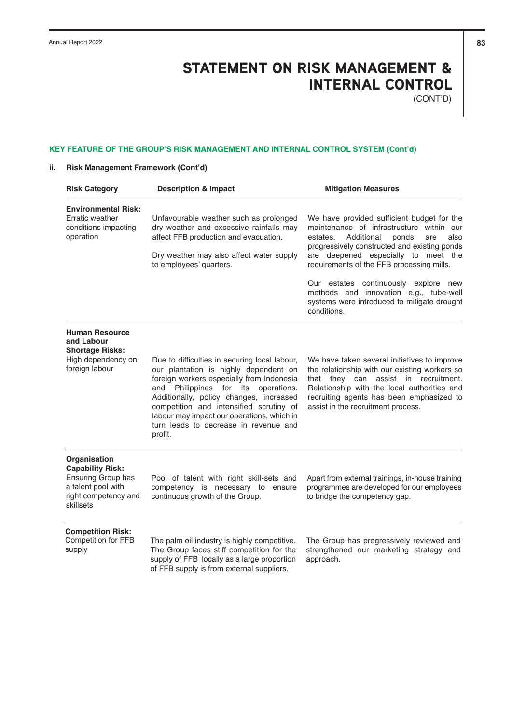(CONT'D)

## **KEY FEATURE OF THE GROUP'S RISK MANAGEMENT AND INTERNAL CONTROL SYSTEM (Cont'd)**

## **ii. Risk Management Framework (Cont'd)**

| <b>Risk Category</b>                                                                                                     | <b>Description &amp; Impact</b>                                                                                                                                                                                                                                                                                                                                       | <b>Mitigation Measures</b>                                                                                                                                                                                                                                                   |
|--------------------------------------------------------------------------------------------------------------------------|-----------------------------------------------------------------------------------------------------------------------------------------------------------------------------------------------------------------------------------------------------------------------------------------------------------------------------------------------------------------------|------------------------------------------------------------------------------------------------------------------------------------------------------------------------------------------------------------------------------------------------------------------------------|
| <b>Environmental Risk:</b><br>Erratic weather<br>conditions impacting<br>operation                                       | Unfavourable weather such as prolonged<br>dry weather and excessive rainfalls may<br>affect FFB production and evacuation.<br>Dry weather may also affect water supply<br>to employees' quarters.                                                                                                                                                                     | We have provided sufficient budget for the<br>maintenance of infrastructure within our<br>Additional<br>estates.<br>ponds<br>are<br>also<br>progressively constructed and existing ponds<br>are deepened especially to meet the<br>requirements of the FFB processing mills. |
|                                                                                                                          |                                                                                                                                                                                                                                                                                                                                                                       | Our estates continuously explore new<br>methods and innovation e.g., tube-well<br>systems were introduced to mitigate drought<br>conditions.                                                                                                                                 |
| <b>Human Resource</b><br>and Labour<br><b>Shortage Risks:</b><br>High dependency on<br>foreign labour                    | Due to difficulties in securing local labour,<br>our plantation is highly dependent on<br>foreign workers especially from Indonesia<br>Philippines for its operations.<br>and<br>Additionally, policy changes, increased<br>competition and intensified scrutiny of<br>labour may impact our operations, which in<br>turn leads to decrease in revenue and<br>profit. | We have taken several initiatives to improve<br>the relationship with our existing workers so<br>that they can assist in recruitment.<br>Relationship with the local authorities and<br>recruiting agents has been emphasized to<br>assist in the recruitment process.       |
| Organisation<br><b>Capability Risk:</b><br>Ensuring Group has<br>a talent pool with<br>right competency and<br>skillsets | Pool of talent with right skill-sets and<br>competency is necessary to ensure<br>continuous growth of the Group.                                                                                                                                                                                                                                                      | Apart from external trainings, in-house training<br>programmes are developed for our employees<br>to bridge the competency gap.                                                                                                                                              |
| <b>Competition Risk:</b><br>Competition for FFB<br>supply                                                                | The palm oil industry is highly competitive.<br>The Group faces stiff competition for the<br>supply of FFB locally as a large proportion<br>of FFB supply is from external suppliers.                                                                                                                                                                                 | The Group has progressively reviewed and<br>strengthened our marketing strategy and<br>approach.                                                                                                                                                                             |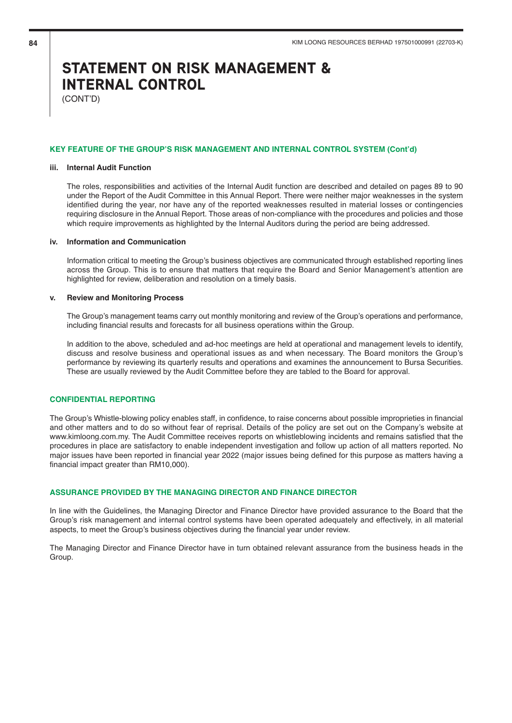(CONT'D)

#### **KEY FEATURE OF THE GROUP'S RISK MANAGEMENT AND INTERNAL CONTROL SYSTEM (Cont'd)**

### **iii. Internal Audit Function**

The roles, responsibilities and activities of the Internal Audit function are described and detailed on pages 89 to 90 under the Report of the Audit Committee in this Annual Report. There were neither major weaknesses in the system identified during the year, nor have any of the reported weaknesses resulted in material losses or contingencies requiring disclosure in the Annual Report. Those areas of non-compliance with the procedures and policies and those which require improvements as highlighted by the Internal Auditors during the period are being addressed.

#### **iv. Information and Communication**

Information critical to meeting the Group's business objectives are communicated through established reporting lines across the Group. This is to ensure that matters that require the Board and Senior Management's attention are highlighted for review, deliberation and resolution on a timely basis.

### **v. Review and Monitoring Process**

The Group's management teams carry out monthly monitoring and review of the Group's operations and performance, including financial results and forecasts for all business operations within the Group.

In addition to the above, scheduled and ad-hoc meetings are held at operational and management levels to identify, discuss and resolve business and operational issues as and when necessary. The Board monitors the Group's performance by reviewing its quarterly results and operations and examines the announcement to Bursa Securities. These are usually reviewed by the Audit Committee before they are tabled to the Board for approval.

## **CONFIDENTIAL REPORTING**

The Group's Whistle-blowing policy enables staff, in confidence, to raise concerns about possible improprieties in financial and other matters and to do so without fear of reprisal. Details of the policy are set out on the Company's website at www.kimloong.com.my. The Audit Committee receives reports on whistleblowing incidents and remains satisfied that the procedures in place are satisfactory to enable independent investigation and follow up action of all matters reported. No major issues have been reported in financial year 2022 (major issues being defined for this purpose as matters having a financial impact greater than RM10,000).

## **ASSURANCE PROVIDED BY THE MANAGING DIRECTOR AND FINANCE DIRECTOR**

In line with the Guidelines, the Managing Director and Finance Director have provided assurance to the Board that the Group's risk management and internal control systems have been operated adequately and effectively, in all material aspects, to meet the Group's business objectives during the financial year under review.

The Managing Director and Finance Director have in turn obtained relevant assurance from the business heads in the Group.